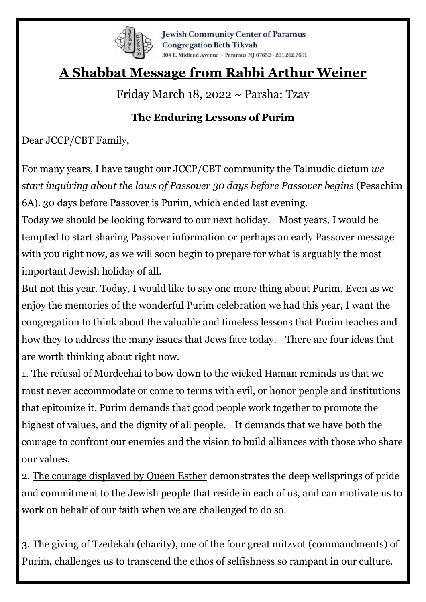

**Jewish Community Center of Paramus Congregation Beth Tikvah** 304 E. Midland Avenue ~ Paramus NJ 07652~ 201.262.7691

## **A Shabbat Message from Rabbi Arthur Weiner**

Friday March 18, 2022 ~ Parsha: Tzav

## **The Enduring Lessons of Purim**

Dear JCCP/CBT Family,

For many years, I have taught our JCCP/CBT community the Talmudic dictum *we start inquiring about the laws of Passover 30 days before Passover begins* (Pesachim 6A). 30 days before Passover is Purim, which ended last evening.

Today we should be looking forward to our next holiday. Most years, I would be tempted to start sharing Passover information or perhaps an early Passover message with you right now, as we will soon begin to prepare for what is arguably the most important Jewish holiday of all.

But not this year. Today, I would like to say one more thing about Purim. Even as we enjoy the memories of the wonderful Purim celebration we had this year, I want the congregation to think about the valuable and timeless lessons that Purim teaches and how they to address the many issues that Jews face today. There are four ideas that are worth thinking about right now.

1. The refusal of Mordechai to bow down to the wicked Haman reminds us that we must never accommodate or come to terms with evil, or honor people and institutions that epitomize it. Purim demands that good people work together to promote the highest of values, and the dignity of all people. It demands that we have both the courage to confront our enemies and the vision to build alliances with those who share our values.

2. The courage displayed by Queen Esther demonstrates the deep wellsprings of pride and commitment to the Jewish people that reside in each of us, and can motivate us to work on behalf of our faith when we are challenged to do so.

3. The giving of Tzedekah (charity), one of the four great mitzvot (commandments) of Purim, challenges us to transcend the ethos of selfishness so rampant in our culture.